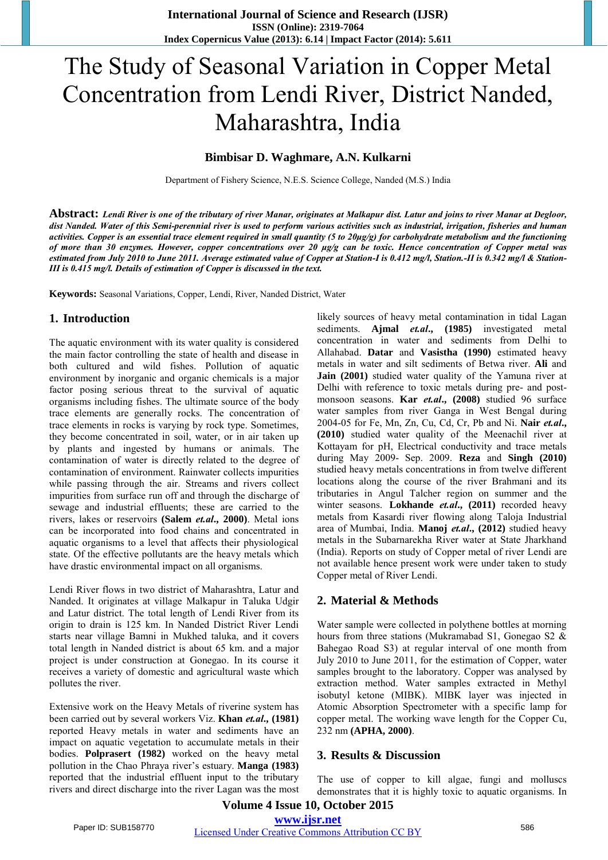# The Study of Seasonal Variation in Copper Metal Concentration from Lendi River, District Nanded, Maharashtra, India

#### **Bimbisar D. Waghmare, A.N. Kulkarni**

Department of Fishery Science, N.E.S. Science College, Nanded (M.S.) India

**Abstract:** *Lendi River is one of the tributary of river Manar, originates at Malkapur dist. Latur and joins to river Manar at Degloor, dist Nanded. Water of this Semi-perennial river is used to perform various activities such as industrial, irrigation, fisheries and human activities. Copper is an essential trace element required in small quantity (5 to 20μg/g) for carbohydrate metabolism and the functioning of more than 30 enzymes. However, copper concentrations over 20 μg/g can be toxic. Hence concentration of Copper metal was estimated from July 2010 to June 2011. Average estimated value of Copper at Station-I is 0.412 mg/l, Station.-II is 0.342 mg/l & Station-III is 0.415 mg/l. Details of estimation of Copper is discussed in the text.* 

**Keywords:** Seasonal Variations, Copper, Lendi, River, Nanded District, Water

#### **1. Introduction**

The aquatic environment with its water quality is considered the main factor controlling the state of health and disease in both cultured and wild fishes. Pollution of aquatic environment by inorganic and organic chemicals is a major factor posing serious threat to the survival of aquatic organisms including fishes. The ultimate source of the body trace elements are generally rocks. The concentration of trace elements in rocks is varying by rock type. Sometimes, they become concentrated in soil, water, or in air taken up by plants and ingested by humans or animals. The contamination of water is directly related to the degree of contamination of environment. Rainwater collects impurities while passing through the air. Streams and rivers collect impurities from surface run off and through the discharge of sewage and industrial effluents; these are carried to the rivers, lakes or reservoirs **(Salem** *et.al***., 2000)**. Metal ions can be incorporated into food chains and concentrated in aquatic organisms to a level that affects their physiological state. Of the effective pollutants are the heavy metals which have drastic environmental impact on all organisms.

Lendi River flows in two district of Maharashtra, Latur and Nanded. It originates at village Malkapur in Taluka Udgir and Latur district. The total length of Lendi River from its origin to drain is 125 km. In Nanded District River Lendi starts near village Bamni in Mukhed taluka, and it covers total length in Nanded district is about 65 km. and a major project is under construction at Gonegao. In its course it receives a variety of domestic and agricultural waste which pollutes the river.

Extensive work on the Heavy Metals of riverine system has been carried out by several workers Viz. **Khan** *et.al***., (1981)**  reported Heavy metals in water and sediments have an impact on aquatic vegetation to accumulate metals in their bodies. **Polprasert (1982)** worked on the heavy metal pollution in the Chao Phraya river's estuary. **Manga (1983)**  reported that the industrial effluent input to the tributary rivers and direct discharge into the river Lagan was the most likely sources of heavy metal contamination in tidal Lagan sediments. **Ajmal** *et.al***., (1985)** investigated metal concentration in water and sediments from Delhi to Allahabad. **Datar** and **Vasistha (1990)** estimated heavy metals in water and silt sediments of Betwa river. **Ali** and **Jain (2001)** studied water quality of the Yamuna river at Delhi with reference to toxic metals during pre- and postmonsoon seasons. **Kar** *et.al***., (2008)** studied 96 surface water samples from river Ganga in West Bengal during 2004-05 for Fe, Mn, Zn, Cu, Cd, Cr, Pb and Ni. **Nair** *et.al***., (2010)** studied water quality of the Meenachil river at Kottayam for pH, Electrical conductivity and trace metals during May 2009- Sep. 2009. **Reza** and **Singh (2010)** studied heavy metals concentrations in from twelve different locations along the course of the river Brahmani and its tributaries in Angul Talcher region on summer and the winter seasons. **Lokhande** *et.al***., (2011)** recorded heavy metals from Kasardi river flowing along Taloja Industrial area of Mumbai, India. **Manoj** *et.al***., (2012)** studied heavy metals in the Subarnarekha River water at State Jharkhand (India). Reports on study of Copper metal of river Lendi are not available hence present work were under taken to study Copper metal of River Lendi.

#### **2. Material & Methods**

Water sample were collected in polythene bottles at morning hours from three stations (Mukramabad S1, Gonegao S2 & Bahegao Road S3) at regular interval of one month from July 2010 to June 2011, for the estimation of Copper, water samples brought to the laboratory. Copper was analysed by extraction method. Water samples extracted in Methyl isobutyl ketone (MIBK). MIBK layer was injected in Atomic Absorption Spectrometer with a specific lamp for copper metal. The working wave length for the Copper Cu, 232 nm **(APHA, 2000)**.

#### **3. Results & Discussion**

The use of copper to kill algae, fungi and molluscs demonstrates that it is highly toxic to aquatic organisms. In

#### **Volume 4 Issue 10, October 2015 www.ijsr.net**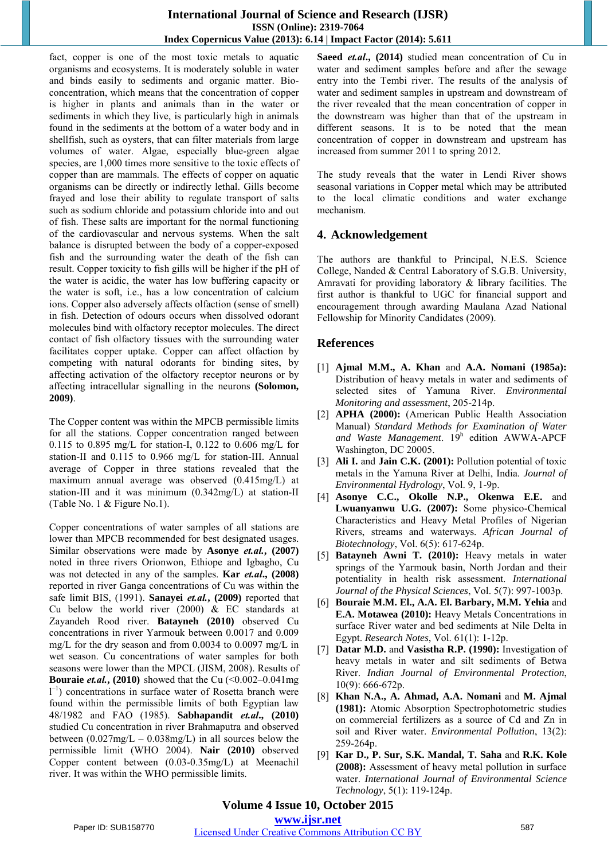### **International Journal of Science and Research (IJSR) ISSN (Online): 2319-7064 Index Copernicus Value (2013): 6.14 | Impact Factor (2014): 5.611**

fact, copper is one of the most toxic metals to aquatic organisms and ecosystems. It is moderately soluble in water and binds easily to sediments and organic matter. Bioconcentration, which means that the concentration of copper is higher in plants and animals than in the water or sediments in which they live, is particularly high in animals found in the sediments at the bottom of a water body and in shellfish, such as oysters, that can filter materials from large volumes of water. Algae, especially blue-green algae species, are 1,000 times more sensitive to the toxic effects of copper than are mammals. The effects of copper on aquatic organisms can be directly or indirectly lethal. Gills become frayed and lose their ability to regulate transport of salts such as sodium chloride and potassium chloride into and out of fish. These salts are important for the normal functioning of the cardiovascular and nervous systems. When the salt balance is disrupted between the body of a copper-exposed fish and the surrounding water the death of the fish can result. Copper toxicity to fish gills will be higher if the pH of the water is acidic, the water has low buffering capacity or the water is soft, i.e., has a low concentration of calcium ions. Copper also adversely affects olfaction (sense of smell) in fish. Detection of odours occurs when dissolved odorant molecules bind with olfactory receptor molecules. The direct contact of fish olfactory tissues with the surrounding water facilitates copper uptake. Copper can affect olfaction by competing with natural odorants for binding sites, by affecting activation of the olfactory receptor neurons or by affecting intracellular signalling in the neurons **(Solomon, 2009)**.

The Copper content was within the MPCB permissible limits for all the stations. Copper concentration ranged between 0.115 to 0.895 mg/L for station-I, 0.122 to 0.606 mg/L for station-II and 0.115 to 0.966 mg/L for station-III. Annual average of Copper in three stations revealed that the maximum annual average was observed (0.415mg/L) at station-III and it was minimum (0.342mg/L) at station-II (Table No. 1 & Figure No.1).

Copper concentrations of water samples of all stations are lower than MPCB recommended for best designated usages. Similar observations were made by **Asonye** *et.al.***, (2007)** noted in three rivers Orionwon, Ethiope and Igbagho, Cu was not detected in any of the samples. **Kar** *et.al***., (2008)** reported in river Ganga concentrations of Cu was within the safe limit BIS, (1991). **Sanayei** *et.al.***, (2009)** reported that Cu below the world river (2000) & EC standards at Zayandeh Rood river. **Batayneh (2010)** observed Cu concentrations in river Yarmouk between 0.0017 and 0.009 mg/L for the dry season and from 0.0034 to 0.0097 mg/L in wet season. Cu concentrations of water samples for both seasons were lower than the MPCL (JISM, 2008). Results of **Bouraie** *et.al.*, (2010) showed that the Cu  $($  <0.002–0.041mg <sup>1-1</sup>) concentrations in surface water of Rosetta branch were found within the permissible limits of both Egyptian law 48/1982 and FAO (1985). **Sabhapandit** *et.al***., (2010)** studied Cu concentration in river Brahmaputra and observed between  $(0.027mg/L - 0.038mg/L)$  in all sources below the permissible limit (WHO 2004). **Nair (2010)** observed Copper content between (0.03-0.35mg/L) at Meenachil river. It was within the WHO permissible limits.

**Saeed** *et.al***., (2014)** studied mean concentration of Cu in water and sediment samples before and after the sewage entry into the Tembi river. The results of the analysis of water and sediment samples in upstream and downstream of the river revealed that the mean concentration of copper in the downstream was higher than that of the upstream in different seasons. It is to be noted that the mean concentration of copper in downstream and upstream has increased from summer 2011 to spring 2012.

The study reveals that the water in Lendi River shows seasonal variations in Copper metal which may be attributed to the local climatic conditions and water exchange mechanism.

## **4. Acknowledgement**

The authors are thankful to Principal, N.E.S. Science College, Nanded & Central Laboratory of S.G.B. University, Amravati for providing laboratory & library facilities. The first author is thankful to UGC for financial support and encouragement through awarding Maulana Azad National Fellowship for Minority Candidates (2009).

## **References**

- [1] **Ajmal M.M., A. Khan** and **A.A. Nomani (1985a):** Distribution of heavy metals in water and sediments of selected sites of Yamuna River. *Environmental Monitoring and assessment*, 205-214p.
- [2] **APHA (2000):** (American Public Health Association Manual) *Standard Methods for Examination of Water and Waste Management*. 19<sup>h</sup> edition AWWA-APCF Washington, DC 20005.
- [3] **Ali I.** and **Jain C.K. (2001):** Pollution potential of toxic metals in the Yamuna River at Delhi, India. *Journal of Environmental Hydrology*, Vol. 9, 1-9p.
- [4] **Asonye C.C., Okolle N.P., Okenwa E.E.** and **Lwuanyanwu U.G. (2007):** Some physico-Chemical Characteristics and Heavy Metal Profiles of Nigerian Rivers, streams and waterways. *African Journal of Biotechnology*, Vol. 6(5): 617-624p.
- [5] **Batayneh Awni T. (2010):** Heavy metals in water springs of the Yarmouk basin, North Jordan and their potentiality in health risk assessment. *International Journal of the Physical Sciences*, Vol. 5(7): 997-1003p.
- [6] **Bouraie M.M. El., A.A. El. Barbary, M.M. Yehia** and **E.A. Motawea (2010):** Heavy Metals Concentrations in surface River water and bed sediments at Nile Delta in Egypt. *Research Notes*, Vol. 61(1): 1-12p.
- [7] **Datar M.D.** and **Vasistha R.P. (1990):** Investigation of heavy metals in water and silt sediments of Betwa River. *Indian Journal of Environmental Protection*, 10(9): 666-672p.
- [8] **Khan N.A., A. Ahmad, A.A. Nomani** and **M. Ajmal (1981):** Atomic Absorption Spectrophotometric studies on commercial fertilizers as a source of Cd and Zn in soil and River water. *Environmental Pollution*, 13(2): 259-264p.
- [9] **Kar D., P. Sur, S.K. Mandal, T. Saha** and **R.K. Kole (2008):** Assessment of heavy metal pollution in surface water. *International Journal of Environmental Science Technology*, 5(1): 119-124p.